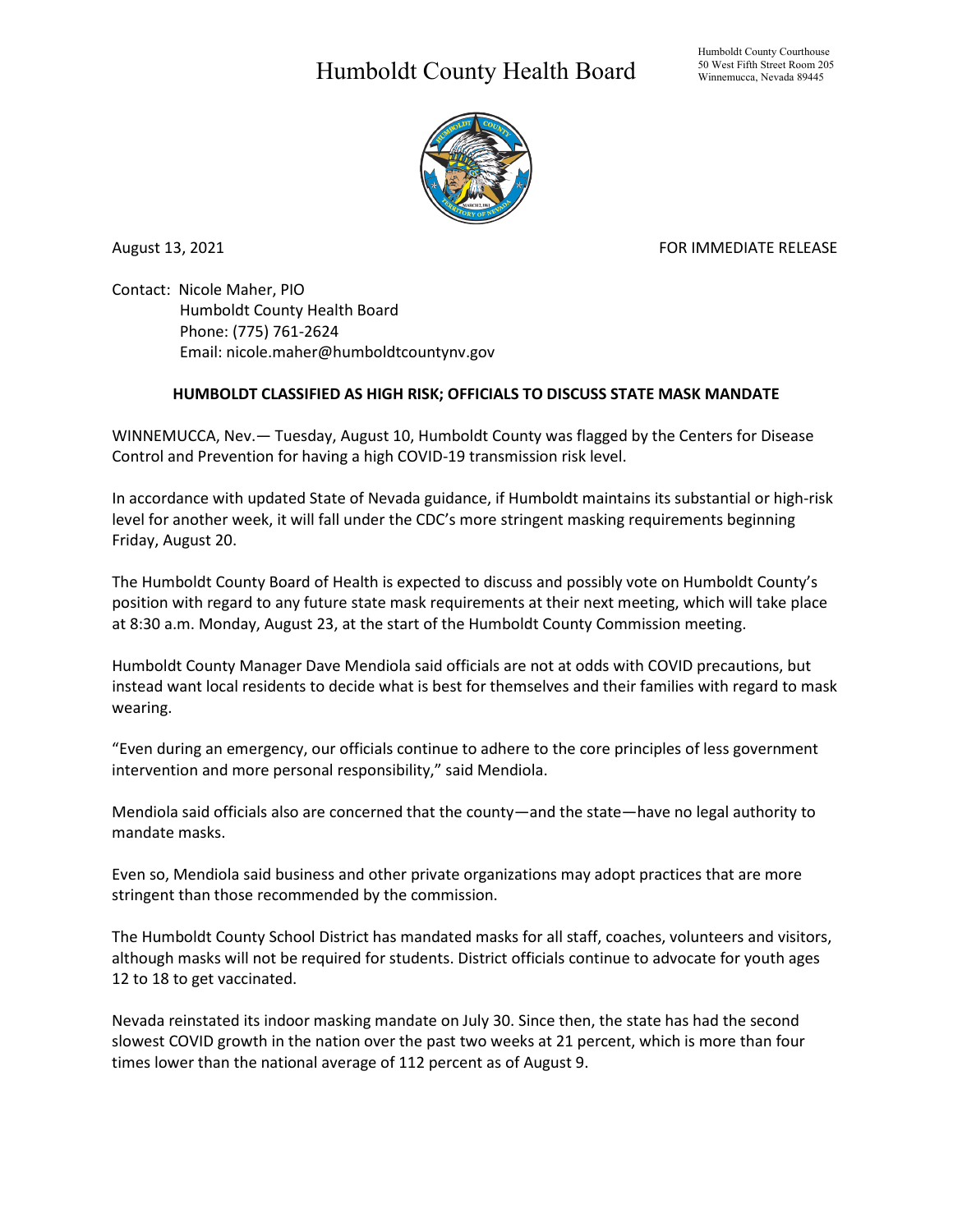## Humboldt County Health Board



August 13, 2021 **FOR IMMEDIATE RELEASE** 

Contact: Nicole Maher, PIO Humboldt County Health Board Phone: (775) 761-2624 Email: nicole.maher@humboldtcountynv.gov

## **HUMBOLDT CLASSIFIED AS HIGH RISK; OFFICIALS TO DISCUSS STATE MASK MANDATE**

WINNEMUCCA, Nev.— Tuesday, August 10, Humboldt County was flagged by the Centers for Disease Control and Prevention for having a high COVID-19 transmission risk level.

In accordance with updated State of Nevada guidance, if Humboldt maintains its substantial or high-risk level for another week, it will fall under the CDC's more stringent masking requirements beginning Friday, August 20.

The Humboldt County Board of Health is expected to discuss and possibly vote on Humboldt County's position with regard to any future state mask requirements at their next meeting, which will take place at 8:30 a.m. Monday, August 23, at the start of the Humboldt County Commission meeting.

Humboldt County Manager Dave Mendiola said officials are not at odds with COVID precautions, but instead want local residents to decide what is best for themselves and their families with regard to mask wearing.

"Even during an emergency, our officials continue to adhere to the core principles of less government intervention and more personal responsibility," said Mendiola.

Mendiola said officials also are concerned that the county—and the state—have no legal authority to mandate masks.

Even so, Mendiola said business and other private organizations may adopt practices that are more stringent than those recommended by the commission.

The Humboldt County School District has mandated masks for all staff, coaches, volunteers and visitors, although masks will not be required for students. District officials continue to advocate for youth ages 12 to 18 to get vaccinated.

Nevada reinstated its indoor masking mandate on July 30. Since then, the state has had the second slowest COVID growth in the nation over the past two weeks at 21 percent, which is more than four times lower than the national average of 112 percent as of August 9.